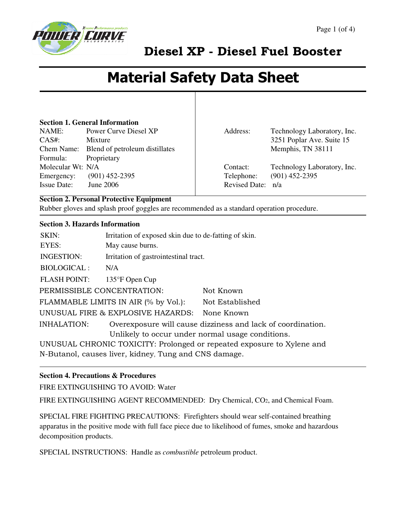

# Material Safety Data Sheet

#### **Section 1. General Information**

NAME: Power Curve Diesel XP CAS#: Mixture Chem Name: Blend of petroleum distillates Formula: Proprietary Molecular Wt: N/A Emergency: (901) 452-2395 Issue Date: June 2006

Address: Technology Laboratory, Inc. 3251 Poplar Ave. Suite 15 Memphis, TN 38111

Contact: Technology Laboratory, Inc. Telephone: (901) 452-2395 Revised Date: n/a

#### **Section 2. Personal Protective Equipment**

Rubber gloves and splash proof goggles are recommended as a standard operation procedure.

#### **Section 3. Hazards Information**

| SKIN:<br>EYES:                                                         | Irritation of exposed skin due to de-fatting of skin.<br>May cause burns. |                                                             |
|------------------------------------------------------------------------|---------------------------------------------------------------------------|-------------------------------------------------------------|
| <b>INGESTION:</b>                                                      | Irritation of gastrointestinal tract.                                     |                                                             |
| <b>BIOLOGICAL:</b>                                                     | N/A                                                                       |                                                             |
| <b>FLASH POINT:</b>                                                    | 135°F Open Cup                                                            |                                                             |
| PERMISSIBLE CONCENTRATION:                                             |                                                                           | Not Known                                                   |
|                                                                        | FLAMMABLE LIMITS IN AIR (% by Vol.):                                      | Not Established                                             |
|                                                                        | UNUSUAL FIRE & EXPLOSIVE HAZARDS:                                         | None Known                                                  |
| <b>INHALATION:</b>                                                     |                                                                           | Overexposure will cause dizziness and lack of coordination. |
| Unlikely to occur under normal usage conditions.                       |                                                                           |                                                             |
| UNUSUAL CHRONIC TOXICITY: Prolonged or repeated exposure to Xylene and |                                                                           |                                                             |
| N-Butanol, causes liver, kidney, Tung and CNS damage.                  |                                                                           |                                                             |

#### **Section 4. Precautions & Procedures**

FIRE EXTINGUISHING TO AVOID: Water

FIRE EXTINGUISHING AGENT RECOMMENDED: Dry Chemical, CO2, and Chemical Foam.

SPECIAL FIRE FIGHTING PRECAUTIONS: Firefighters should wear self-contained breathing apparatus in the positive mode with full face piece due to likelihood of fumes, smoke and hazardous decomposition products.

SPECIAL INSTRUCTIONS: Handle as *combustible* petroleum product.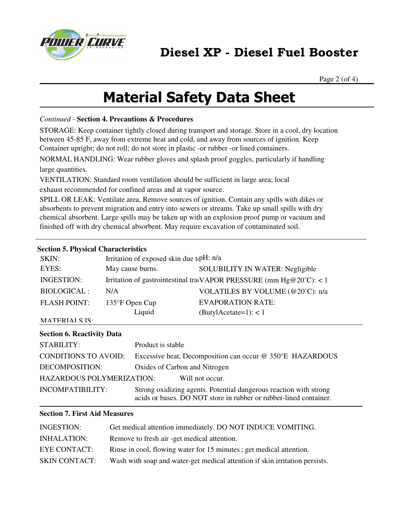

Page 2 (of 4)

## Material Safety Data Sheet

#### *Continued -* **Section 4. Precautions & Procedures**

STORAGE: Keep container tightly closed during transport and storage. Store in a cool, dry location between 45-85 F, away from extreme heat and cold, and away from sources of ignition. Keep Container upright; do not roll; do not store in plastic -or rubber -or lined containers.

NORMAL HANDLING: Wear rubber gloves and splash proof goggles, particularly if handling large quantities.

VENTILATION: Standard room ventilation should be sufficient in large area; local exhaust recommended for confined areas and at vapor source.

SPILL OR LEAK: Ventilate area, Remove sources of ignition. Contain any spills with dikes or absorbents to prevent migration and entry into sewers or streams. Take up small spills with dry chemical absorbent. Large spills may be taken up with an explosion proof pump or vacuum and finished off with dry chemical absorbent. May require excavation of contaminated soil.

#### **Section 5. Physical Characteristics**

| SKIN:               | Irritation of exposed skin due t <sub>t</sub> pH: n/a                        |                                  |
|---------------------|------------------------------------------------------------------------------|----------------------------------|
| EYES:               | May cause burns.                                                             | SOLUBILITY IN WATER: Negligible  |
| <b>INGESTION:</b>   | Irritation of gastrointestinal travAPOR PRESSURE (mm $Hg@20^{\circ}C$ ): < 1 |                                  |
| <b>BIOLOGICAL:</b>  | N/A                                                                          | VOLATILES BY VOLUME (@20°C): n/a |
| <b>FLASH POINT:</b> | 135°F Open Cup                                                               | <b>EVAPORATION RATE:</b>         |
|                     | Liquid                                                                       | $(Buty]$ Acetate=1): < 1         |
| MATERIAI S IS.      |                                                                              |                                  |

### **Section 6. Reactivity Data**

| STABILITY:                       | Product is stable                                                                                                                      |  |
|----------------------------------|----------------------------------------------------------------------------------------------------------------------------------------|--|
| CONDITIONS TO AVOID:             | Excessive heat, Decomposition can occur @ 350°E HAZARDOUS                                                                              |  |
| DECOMPOSITION:                   | Oxides of Carbon and Nitrogen                                                                                                          |  |
| <b>HAZARDOUS POLYMERIZATION:</b> | Will not occur.                                                                                                                        |  |
| <b>INCOMPATIBILITY:</b>          | Strong oxidizing agents. Potential dangerous reaction with strong<br>acids or bases. DO NOT store in rubber or rubber-lined container. |  |

#### **Section 7. First Aid Measures**

| <b>INGESTION:</b>    | Get medical attention immediately. DO NOT INDUCE VOMITING.                  |
|----------------------|-----------------------------------------------------------------------------|
| <b>INHALATION:</b>   | Remove to fresh air -get medical attention.                                 |
| <b>EYE CONTACT:</b>  | Rinse in cool, flowing water for 15 minutes : get medical attention.        |
| <b>SKIN CONTACT:</b> | Wash with soap and water-get medical attention if skin irritation persists. |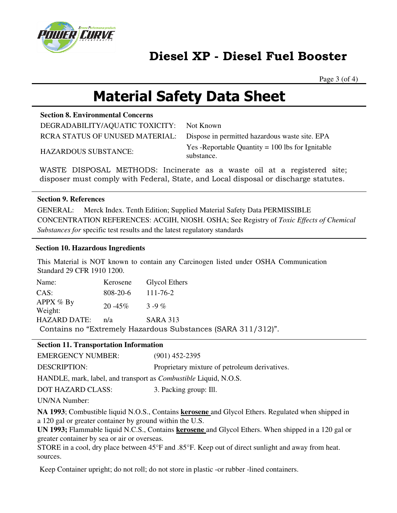

Page 3 (of 4)

## Material Safety Data Sheet

#### **Section 8. Environmental Concerns**

DEGRADABILITY/AQUATIC TOXICITY: Not Known

RCRA STATUS OF UNUSED MATERIAL: Dispose in permitted hazardous waste site. EPA HAZARDOUS SUBSTANCE: Yes -Reportable Quantity = 100 lbs for Ignitable substance.

WASTE DISPOSAL METHODS: Incinerate as a waste oil at a registered site; disposer must comply with Federal, State, and Local disposal or discharge statutes.

#### **Section 9. References**

GENERAL: Merck Index. Tenth Edition; Supplied Material Safety Data PERMISSIBLE CONCENTRATION REFERENCES: ACGIH, NlOSH. OSHA; See Registry of *Toxic Effects of Chemical Substances for* specific test results and the latest regulatory standards

#### **Section 10. Hazardous Ingredients**

This Material is NOT known to contain any Carcinogen listed under OSHA Communication Standard 29 CFR 1910 1200.

| Name:                                                        |                     | Kerosene Glycol Ethers |  |
|--------------------------------------------------------------|---------------------|------------------------|--|
| CAS:                                                         | $808-20-6$ 111-76-2 |                        |  |
| APPX $%$ By<br>Weight:                                       | 20 -45\% 3 -9 \%    |                        |  |
| <b>HAZARD DATE:</b>                                          | n/a                 | <b>SARA 313</b>        |  |
| Contains no "Extremely Hazardous Substances (SARA 311/312)". |                     |                        |  |

#### **Section 11. Transportation Information**

| <b>EMERGENCY NUMBER:</b> | $(901)$ 452-2395                              |
|--------------------------|-----------------------------------------------|
| DESCRIPTION:             | Proprietary mixture of petroleum derivatives. |

HANDLE, mark, label, and transport as *Combustible* Liquid, N.O.S.

DOT HAZARD CLASS: 3. Packing group: Ill.

UN/NA Number:

**NA 1993**; Combustible liquid N.O.S., Contains **kerosene** and Glycol Ethers. Regulated when shipped in a 120 gal or greater container by ground within the U.S.

**UN 1993;** Flammable liquid N.C.S., Contains **kerosene** and Glycol Ethers. When shipped in a 120 gal or greater container by sea or air or overseas.

STORE in a cool, dry place between 45°F and .85°F. Keep out of direct sunlight and away from heat. sources.

Keep Container upright; do not roll; do not store in plastic -or rubber -lined containers.